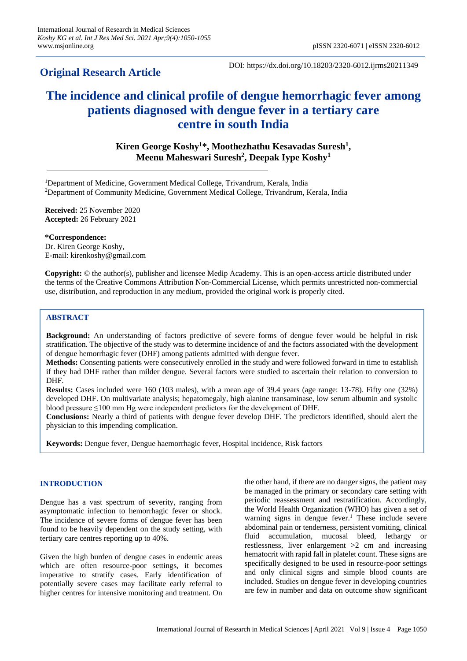## **Original Research Article**

DOI: https://dx.doi.org/10.18203/2320-6012.ijrms20211349

# **The incidence and clinical profile of dengue hemorrhagic fever among patients diagnosed with dengue fever in a tertiary care centre in south India**

**Kiren George Koshy<sup>1</sup>\*, Moothezhathu Kesavadas Suresh<sup>1</sup> , Meenu Maheswari Suresh<sup>2</sup> , Deepak Iype Koshy<sup>1</sup>**

<sup>1</sup>Department of Medicine, Government Medical College, Trivandrum, Kerala, India <sup>2</sup>Department of Community Medicine, Government Medical College, Trivandrum, Kerala, India

**Received:** 25 November 2020 **Accepted:** 26 February 2021

**\*Correspondence:** Dr. Kiren George Koshy, E-mail: kirenkoshy@gmail.com

**Copyright:** © the author(s), publisher and licensee Medip Academy. This is an open-access article distributed under the terms of the Creative Commons Attribution Non-Commercial License, which permits unrestricted non-commercial use, distribution, and reproduction in any medium, provided the original work is properly cited.

## **ABSTRACT**

**Background:** An understanding of factors predictive of severe forms of dengue fever would be helpful in risk stratification. The objective of the study was to determine incidence of and the factors associated with the development of dengue hemorrhagic fever (DHF) among patients admitted with dengue fever.

**Methods:** Consenting patients were consecutively enrolled in the study and were followed forward in time to establish if they had DHF rather than milder dengue. Several factors were studied to ascertain their relation to conversion to DHF.

**Results:** Cases included were 160 (103 males), with a mean age of 39.4 years (age range: 13-78). Fifty one (32%) developed DHF. On multivariate analysis; hepatomegaly, high alanine transaminase, low serum albumin and systolic blood pressure ≤100 mm Hg were independent predictors for the development of DHF.

**Conclusions:** Nearly a third of patients with dengue fever develop DHF. The predictors identified, should alert the physician to this impending complication.

**Keywords:** Dengue fever, Dengue haemorrhagic fever, Hospital incidence, Risk factors

## **INTRODUCTION**

Dengue has a vast spectrum of severity, ranging from asymptomatic infection to hemorrhagic fever or shock. The incidence of severe forms of dengue fever has been found to be heavily dependent on the study setting, with tertiary care centres reporting up to 40%.

Given the high burden of dengue cases in endemic areas which are often resource-poor settings, it becomes imperative to stratify cases. Early identification of potentially severe cases may facilitate early referral to higher centres for intensive monitoring and treatment. On the other hand, if there are no danger signs, the patient may be managed in the primary or secondary care setting with periodic reassessment and restratification. Accordingly, the World Health Organization (WHO) has given a set of warning signs in dengue fever.<sup>1</sup> These include severe abdominal pain or tenderness, persistent vomiting, clinical fluid accumulation, mucosal bleed, lethargy or restlessness, liver enlargement  $>2$  cm and increasing hematocrit with rapid fall in platelet count. These signs are specifically designed to be used in resource-poor settings and only clinical signs and simple blood counts are included. Studies on dengue fever in developing countries are few in number and data on outcome show significant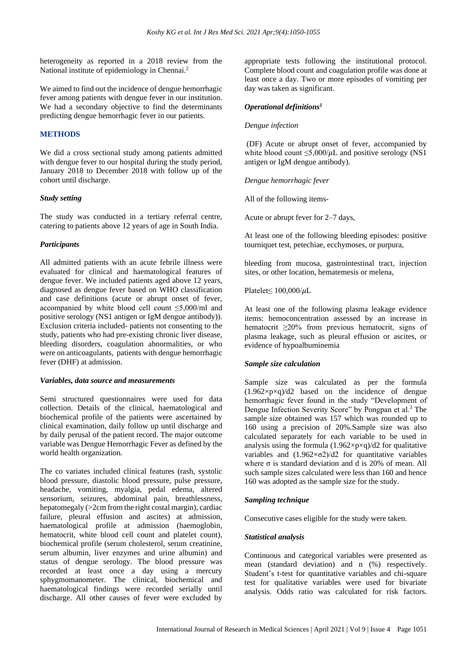heterogeneity as reported in a 2018 review from the National institute of epidemiology in Chennai.<sup>2</sup>

We aimed to find out the incidence of dengue hemorrhagic fever among patients with dengue fever in our institution. We had a secondary objective to find the determinants predicting dengue hemorrhagic fever in our patients.

## **METHODS**

We did a cross sectional study among patients admitted with dengue fever to our hospital during the study period, January 2018 to December 2018 with follow up of the cohort until discharge.

## *Study setting*

The study was conducted in a tertiary referral centre, catering to patients above 12 years of age in South India.

#### *Participants*

All admitted patients with an acute febrile illness were evaluated for clinical and haematological features of dengue fever. We included patients aged above 12 years, diagnosed as dengue fever based on WHO classification and case definitions (acute or abrupt onset of fever, accompanied by white blood cell count ≤5,000/ml and positive serology (NS1 antigen or IgM dengue antibody)). Exclusion criteria included- patients not consenting to the study, patients who had pre-existing chronic liver disease, bleeding disorders, coagulation abnormalities, or who were on anticoagulants, patients with dengue hemorrhagic fever (DHF) at admission.

#### *Variables, data source and measurements*

Semi structured questionnaires were used for data collection. Details of the clinical, haematological and biochemical profile of the patients were ascertained by clinical examination, daily follow up until discharge and by daily perusal of the patient record. The major outcome variable was Dengue Hemorrhagic Fever as defined by the world health organization.

The co variates included clinical features (rash, systolic blood pressure, diastolic blood pressure, pulse pressure, headache, vomiting, myalgia, pedal edema, altered sensorium, seizures, abdominal pain, breathlessness, hepatomegaly (>2cm from the right costal margin), cardiac failure, pleural effusion and ascites) at admission, haematological profile at admission (haemoglobin, hematocrit, white blood cell count and platelet count), biochemical profile (serum cholesterol, serum creatinine, serum albumin, liver enzymes and urine albumin) and status of dengue serology. The blood pressure was recorded at least once a day using a mercury sphygmomanometer. The clinical, biochemical and haematological findings were recorded serially until discharge. All other causes of fever were excluded by appropriate tests following the institutional protocol. Complete blood count and coagulation profile was done at least once a day. Two or more episodes of vomiting per day was taken as significant.

## *Operational definitions<sup>1</sup>*

#### *Dengue infection*

(DF) Acute or abrupt onset of fever, accompanied by white blood count  $\leq 5,000/\mu L$  and positive serology (NS1 antigen or IgM dengue antibody).

*Dengue hemorrhagic fever*

All of the following items-

Acute or abrupt fever for 2–7 days,

At least one of the following bleeding episodes: positive tourniquet test, petechiae, ecchymoses, or purpura,

bleeding from mucosa, gastrointestinal tract, injection sites, or other location, hematemesis or melena,

Platelet≤ 100,000/µL

At least one of the following plasma leakage evidence items: hemoconcentration assessed by an increase in hematocrit ≥20% from previous hematocrit, signs of plasma leakage, such as pleural effusion or ascites, or evidence of hypoalbuminemia

## *Sample size calculation*

Sample size was calculated as per the formula  $(1.962 \times p \times q)/d2$  based on the incidence of dengue hemorrhagic fever found in the study "Development of Dengue Infection Severity Score" by Pongpan et al.<sup>3</sup> The sample size obtained was 157 which was rounded up to 160 using a precision of 20%.Sample size was also calculated separately for each variable to be used in analysis using the formula  $(1.962 \times p \times q)/d2$  for qualitative variables and  $(1.962 \times 0.7)$  and  $(1.962 \times 0.7)$  for quantitative variables where  $\sigma$  is standard deviation and d is 20% of mean. All such sample sizes calculated were less than 160 and hence 160 was adopted as the sample size for the study.

#### *Sampling technique*

Consecutive cases eligible for the study were taken.

#### *Statistical analysis*

Continuous and categorical variables were presented as mean (standard deviation) and n (%) respectively. Student's t-test for quantitative variables and chi-square test for qualitative variables were used for bivariate analysis. Odds ratio was calculated for risk factors.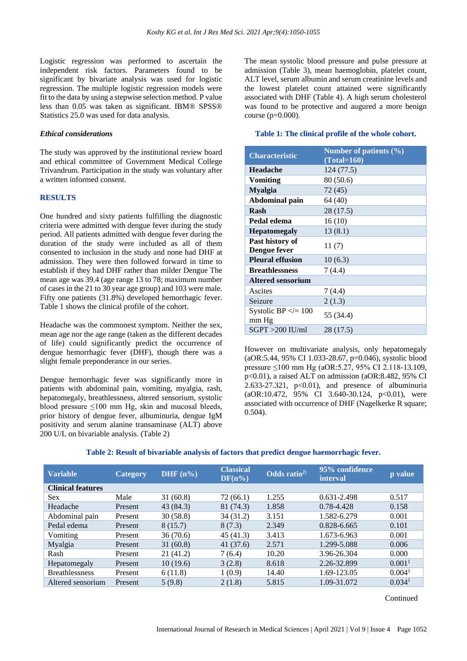Logistic regression was performed to ascertain the independent risk factors. Parameters found to be significant by bivariate analysis was used for logistic regression. The multiple logistic regression models were fit to the data by using a stepwise selection method. P value less than 0.05 was taken as significant. IBM® SPSS® Statistics 25.0 was used for data analysis.

#### *Ethical considerations*

The study was approved by the institutional review board and ethical committee of Government Medical College Trivandrum. Participation in the study was voluntary after a written informed consent.

#### **RESULTS**

One hundred and sixty patients fulfilling the diagnostic criteria were admitted with dengue fever during the study period. All patients admitted with dengue fever during the duration of the study were included as all of them consented to inclusion in the study and none had DHF at admission. They were then followed forward in time to establish if they had DHF rather than milder Dengue The mean age was 39.4 (age range 13 to 78; maximum number of cases in the 21 to 30 year age group) and 103 were male. Fifty one patients (31.8%) developed hemorrhagic fever. Table 1 shows the clinical profile of the cohort.

Headache was the commonest symptom. Neither the sex, mean age nor the age range (taken as the different decades of life) could significantly predict the occurrence of dengue hemorrhagic fever (DHF), though there was a slight female preponderance in our series.

Dengue hemorrhagic fever was significantly more in patients with abdominal pain, vomiting, myalgia, rash, hepatomegaly, breathlessness, altered sensorium, systolic blood pressure ≤100 mm Hg, skin and mucosal bleeds, prior history of dengue fever, albuminuria, dengue IgM positivity and serum alanine transaminase (ALT) above 200 U/L on bivariable analysis. (Table 2)

The mean systolic blood pressure and pulse pressure at admission (Table 3), mean haemoglobin, platelet count, ALT level, serum albumin and serum creatinine levels and the lowest platelet count attained were significantly associated with DHF (Table 4). A high serum cholesterol was found to be protective and augured a more benign course (p=0.000).

#### **Table 1: The clinical profile of the whole cohort.**

| <b>Characteristic</b>             | Number of patients $(\% )$<br>$(Total=160)$ |
|-----------------------------------|---------------------------------------------|
| Headache                          | 124(77.5)                                   |
| Vomiting                          | 80 (50.6)                                   |
| <b>Myalgia</b>                    | 72 (45)                                     |
| Abdominal pain                    | 64 (40)                                     |
| Rash                              | 28 (17.5)                                   |
| Pedal edema                       | 16(10)                                      |
| <b>Hepatomegaly</b>               | 13 (8.1)                                    |
| Past history of<br>Dengue fever   | 11(7)                                       |
| <b>Pleural effusion</b>           | 10(6.3)                                     |
| <b>Breathlessness</b>             | 7 (4.4)                                     |
| <b>Altered sensorium</b>          |                                             |
| Ascites                           | 7(4.4)                                      |
| Seizure                           | 2(1.3)                                      |
| Systolic BP $\leq$ = 100<br>mm Hg | 55 (34.4)                                   |
| $SGPT > 200$ IU/ml                | 28 (17.5)                                   |

However on multivariate analysis, only hepatomegaly (aOR:5.44, 95% CI 1.033-28.67, p=0.046), systolic blood pressure ≤100 mm Hg (aOR:5.27, 95% CI 2.118-13.109, p<0.01), a raised ALT on admission (aOR:8.482, 95% CI 2.633-27.321,  $p<0.01$ ), and presence of albuminuria (aOR:10.472, 95% CI 3.640-30.124, p<0.01), were associated with occurrence of DHF (Nagelkerke R square; 0.504).

## **Table 2: Result of bivariable analysis of factors that predict dengue haemorrhagic fever.**

| <b>Variable</b>          | Category | DHF $(n\%)$ | <b>Classical</b><br>$DF(n\%)$ | $\overline{\text{Odds ratio}^{2}}$ | 95% confidence<br><i>interval</i> | p value            |
|--------------------------|----------|-------------|-------------------------------|------------------------------------|-----------------------------------|--------------------|
| <b>Clinical features</b> |          |             |                               |                                    |                                   |                    |
| <b>Sex</b>               | Male     | 31(60.8)    | 72 (66.1)                     | 1.255                              | 0.631-2.498                       | 0.517              |
| Headache                 | Present  | 43 (84.3)   | 81 (74.3)                     | 1.858                              | 0.78-4.428                        | 0.158              |
| Abdominal pain           | Present  | 30(58.8)    | 34 (31.2)                     | 3.151                              | 1.582-6.279                       | 0.001              |
| Pedal edema              | Present  | 8(15.7)     | 8(7.3)                        | 2.349                              | $0.828 - 6.665$                   | 0.101              |
| Vomiting                 | Present  | 36(70.6)    | 45 (41.3)                     | 3.413                              | 1.673-6.963                       | 0.001              |
| Myalgia                  | Present  | 31(60.8)    | 41 $(37.6)$                   | 2.571                              | 1.299-5.088                       | 0.006              |
| Rash                     | Present  | 21(41.2)    | 7(6.4)                        | 10.20                              | 3.96-26.304                       | 0.000              |
| Hepatomegaly             | Present  | 10(19.6)    | 3(2.8)                        | 8.618                              | 2.26-32.899                       | 0.001 <sup>1</sup> |
| <b>Breathlessness</b>    | Present  | 6(11.8)     | 1(0.9)                        | 14.40                              | 1.69-123.05                       | 0.004 <sup>1</sup> |
| Altered sensorium        | Present  | 5(9.8)      | 2(1.8)                        | 5.815                              | 1.09-31.072                       | 0.034 <sup>1</sup> |

Continued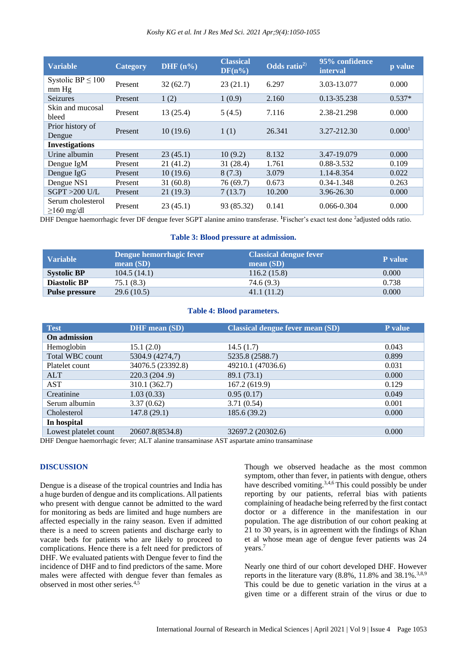| <b>Variable</b>                       | <b>Category</b> | DHF $(n\%)$ | <b>Classical</b><br>$DF(n\%)$ | Odds ratio <sup>2)</sup> | 95% confidence<br><i>interval</i> | p value            |
|---------------------------------------|-----------------|-------------|-------------------------------|--------------------------|-----------------------------------|--------------------|
| Systolic BP $\leq 100$<br>mm Hg       | Present         | 32(62.7)    | 23(21.1)                      | 6.297                    | 3.03-13.077                       | 0.000              |
| Seizures                              | Present         | 1(2)        | 1(0.9)                        | 2.160                    | 0.13-35.238                       | $0.537*$           |
| Skin and mucosal<br>bleed             | Present         | 13 (25.4)   | 5(4.5)                        | 7.116                    | 2.38-21.298                       | 0.000              |
| Prior history of<br>Dengue            | Present         | 10(19.6)    | 1(1)                          | 26.341                   | 3.27-212.30                       | 0.000 <sup>1</sup> |
| <b>Investigations</b>                 |                 |             |                               |                          |                                   |                    |
| Urine albumin                         | Present         | 23(45.1)    | 10(9.2)                       | 8.132                    | 3.47-19.079                       | 0.000              |
| Dengue IgM                            | Present         | 21(41.2)    | 31 (28.4)                     | 1.761                    | 0.88-3.532                        | 0.109              |
| Dengue $IgG$                          | Present         | 10(19.6)    | 8(7.3)                        | 3.079                    | 1.14-8.354                        | 0.022              |
| Dengue NS1                            | Present         | 31(60.8)    | 76 (69.7)                     | 0.673                    | 0.34-1.348                        | 0.263              |
| $SGPT > 200$ U/L                      | Present         | 21(19.3)    | 7(13.7)                       | 10.200                   | 3.96-26.30                        | 0.000              |
| Serum cholesterol<br>$\geq$ 160 mg/dl | Present         | 23(45.1)    | 93 (85.32)                    | 0.141                    | $0.066 - 0.304$                   | 0.000              |

DHF Dengue haemorrhagic fever DF dengue fever SGPT alanine amino transferase. **<sup>1</sup>**Fischer's exact test done <sup>2</sup> adjusted odds ratio.

#### **Table 3: Blood pressure at admission.**

| Variable              | Dengue hemorrhagic fever<br>mean $(SD)$ | <b>Classical dengue fever</b><br>mean(SD) | <b>P</b> value |
|-----------------------|-----------------------------------------|-------------------------------------------|----------------|
| <b>Systolic BP</b>    | 104.5(14.1)                             | 116.2(15.8)                               | 0.000          |
| <b>Diastolic BP</b>   | 75.1 (8.3)                              | 74.6 (9.3)                                | 0.738          |
| <b>Pulse pressure</b> | 29.6(10.5)                              | 41.1(11.2)                                | 0.000          |

## **Table 4: Blood parameters.**

| <b>Test</b>           | <b>DHF</b> mean (SD) | <b>Classical dengue fever mean (SD)</b> | <b>P</b> value |
|-----------------------|----------------------|-----------------------------------------|----------------|
| On admission          |                      |                                         |                |
| Hemoglobin            | 15.1(2.0)            | 14.5(1.7)                               | 0.043          |
| Total WBC count       | 5304.9 (4274,7)      | 5235.8 (2588.7)                         | 0.899          |
| Platelet count        | 34076.5 (23392.8)    | 49210.1 (47036.6)                       | 0.031          |
| <b>ALT</b>            | 220.3 (204.9)        | 89.1 (73.1)                             | 0.000          |
| <b>AST</b>            | 310.1 (362.7)        | 167.2 (619.9)                           | 0.129          |
| Creatinine            | 1.03(0.33)           | 0.95(0.17)                              | 0.049          |
| Serum albumin         | 3.37(0.62)           | 3.71(0.54)                              | 0.001          |
| Cholesterol           | 147.8(29.1)          | 185.6 (39.2)                            | 0.000          |
| In hospital           |                      |                                         |                |
| Lowest platelet count | 20607.8(8534.8)      | 32697.2 (20302.6)                       | 0.000          |

DHF Dengue haemorrhagic fever; ALT alanine transaminase AST aspartate amino transaminase

## **DISCUSSION**

Dengue is a disease of the tropical countries and India has a huge burden of dengue and its complications. All patients who present with dengue cannot be admitted to the ward for monitoring as beds are limited and huge numbers are affected especially in the rainy season. Even if admitted there is a need to screen patients and discharge early to vacate beds for patients who are likely to proceed to complications. Hence there is a felt need for predictors of DHF. We evaluated patients with Dengue fever to find the incidence of DHF and to find predictors of the same. More males were affected with dengue fever than females as observed in most other series.4,5

Though we observed headache as the most common symptom, other than fever, in patients with dengue, others have described vomiting.<sup>3,4,6</sup> This could possibly be under reporting by our patients, referral bias with patients complaining of headache being referred by the first contact doctor or a difference in the manifestation in our population. The age distribution of our cohort peaking at 21 to 30 years, is in agreement with the findings of Khan et al whose mean age of dengue fever patients was 24 years. 7

Nearly one third of our cohort developed DHF. However reports in the literature vary  $(8.8\%, 11.8\% \text{ and } 38.1\%, \frac{38.9}{10.3\%})$ This could be due to genetic variation in the virus at a given time or a different strain of the virus or due to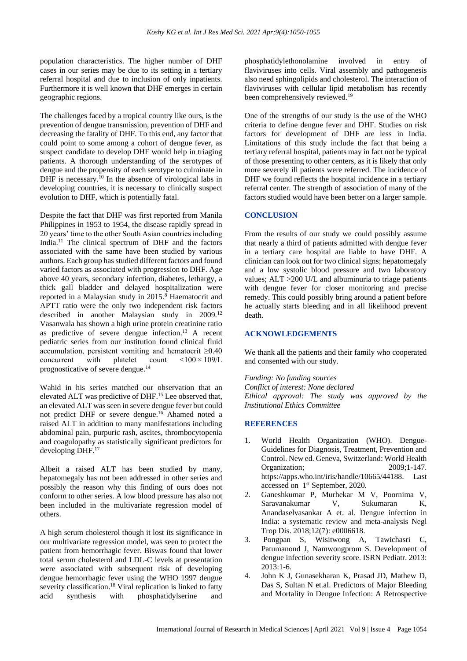population characteristics. The higher number of DHF cases in our series may be due to its setting in a tertiary referral hospital and due to inclusion of only inpatients. Furthermore it is well known that DHF emerges in certain geographic regions.

The challenges faced by a tropical country like ours, is the prevention of dengue transmission, prevention of DHF and decreasing the fatality of DHF. To this end, any factor that could point to some among a cohort of dengue fever, as suspect candidate to develop DHF would help in triaging patients. A thorough understanding of the serotypes of dengue and the propensity of each serotype to culminate in DHF is necessary.<sup>10</sup> In the absence of virological labs in developing countries, it is necessary to clinically suspect evolution to DHF, which is potentially fatal.

Despite the fact that DHF was first reported from Manila Philippines in 1953 to 1954, the disease rapidly spread in 20 years' time to the other South Asian countries including India.<sup>11</sup> The clinical spectrum of DHF and the factors associated with the same have been studied by various authors. Each group has studied different factors and found varied factors as associated with progression to DHF. Age above 40 years, secondary infection, diabetes, lethargy, a thick gall bladder and delayed hospitalization were reported in a Malaysian study in  $2015$ .<sup>8</sup> Haematocrit and APTT ratio were the only two independent risk factors described in another Malaysian study in 2009.<sup>12</sup> Vasanwala has shown a high urine protein creatinine ratio as predictive of severe dengue infection.<sup>13</sup> A recent pediatric series from our institution found clinical fluid accumulation, persistent vomiting and hematocrit ≥0.40 concurrent with platelet count <100 × 109/L prognosticative of severe dengue.<sup>14</sup>

Wahid in his series matched our observation that an elevated ALT was predictive of DHF.<sup>15</sup> Lee observed that, an elevated ALT was seen in severe dengue fever but could not predict DHF or severe dengue.<sup>16</sup> Ahamed noted a raised ALT in addition to many manifestations including abdominal pain, purpuric rash, ascites, thrombocytopenia and coagulopathy as statistically significant predictors for developing DHF. 17

Albeit a raised ALT has been studied by many, hepatomegaly has not been addressed in other series and possibly the reason why this finding of ours does not conform to other series. A low blood pressure has also not been included in the multivariate regression model of others.

A high serum cholesterol though it lost its significance in our multivariate regression model, was seen to protect the patient from hemorrhagic fever. Biswas found that lower total serum cholesterol and LDL-C levels at presentation were associated with subsequent risk of developing dengue hemorrhagic fever using the WHO 1997 dengue severity classification.<sup>18</sup> Viral replication is linked to fatty acid synthesis with phosphatidylserine and

phosphatidylethonolamine involved in entry of flaviviruses into cells. Viral assembly and pathogenesis also need sphingolipids and cholesterol. The interaction of flaviviruses with cellular lipid metabolism has recently been comprehensively reviewed.<sup>19</sup>

One of the strengths of our study is the use of the WHO criteria to define dengue fever and DHF. Studies on risk factors for development of DHF are less in India. Limitations of this study include the fact that being a tertiary referral hospital, patients may in fact not be typical of those presenting to other centers, as it is likely that only more severely ill patients were referred. The incidence of DHF we found reflects the hospital incidence in a tertiary referral center. The strength of association of many of the factors studied would have been better on a larger sample.

## **CONCLUSION**

From the results of our study we could possibly assume that nearly a third of patients admitted with dengue fever in a tertiary care hospital are liable to have DHF. A clinician can look out for two clinical signs; hepatomegaly and a low systolic blood pressure and two laboratory values; ALT >200 U/L and albuminuria to triage patients with dengue fever for closer monitoring and precise remedy. This could possibly bring around a patient before he actually starts bleeding and in all likelihood prevent death.

## **ACKNOWLEDGEMENTS**

We thank all the patients and their family who cooperated and consented with our study.

*Funding: No funding sources Conflict of interest: None declared Ethical approval: The study was approved by the Institutional Ethics Committee*

#### **REFERENCES**

- 1. World Health Organization (WHO). Dengue-Guidelines for Diagnosis, Treatment, Prevention and Control. New ed. Geneva, Switzerland: World Health Organization; 2009;1-147. https://apps.who.int/iris/handle/10665/44188. Last accessed on 1 st September, 2020.
- 2. Ganeshkumar P, Murhekar M V, Poornima V, Saravanakumar V, Sukumaran K, Anandaselvasankar A et. al. Dengue infection in India: a systematic review and meta-analysis Negl Trop Dis. 2018;12(7): e0006618.
- 3. Pongpan S, Wisitwong A, Tawichasri C, Patumanond J, Namwongprom S. Development of dengue infection severity score. ISRN Pediatr. 2013: 2013:1-6.
- 4. John K J, Gunasekharan K, Prasad JD, Mathew D, Das S, Sultan N et.al. Predictors of Major Bleeding and Mortality in Dengue Infection: A Retrospective